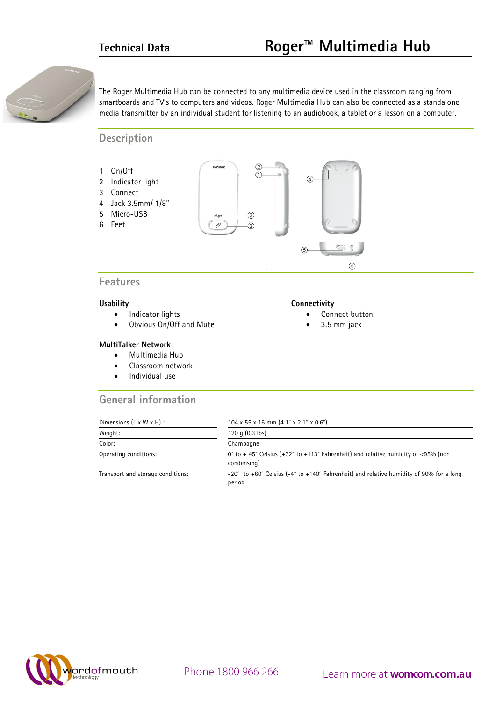

The Roger Multimedia Hub can be connected to any multimedia device used in the classroom ranging from smartboards and TV's to computers and videos. Roger Multimedia Hub can also be connected as a standalone media transmitter by an individual student for listening to an audiobook, a tablet or a lesson on a computer.

**Description**



## **Features**

#### **Usability**

- Indicator lights
- Obvious On/Off and Mute

#### **MultiTalker Network**

- Multimedia Hub
- Classroom network
- Individual use

## **General information**

### **Connectivity**

- Connect button
- 3.5 mm jack

| Dimensions $(L \times W \times H)$ : | $104 \times 55 \times 16$ mm $(4.1" \times 2.1" \times 0.6")$                                    |  |
|--------------------------------------|--------------------------------------------------------------------------------------------------|--|
| Weight:                              | 120 q $(0.3$ lbs)                                                                                |  |
| Color:                               | Champagne                                                                                        |  |
| Operating conditions:                | 0° to +45° Celsius (+32° to +113° Fahrenheit) and relative humidity of <95% (non<br>condensing)  |  |
| Transport and storage conditions:    | -20° to +60° Celsius (-4° to +140° Fahrenheit) and relative humidity of 90% for a long<br>period |  |